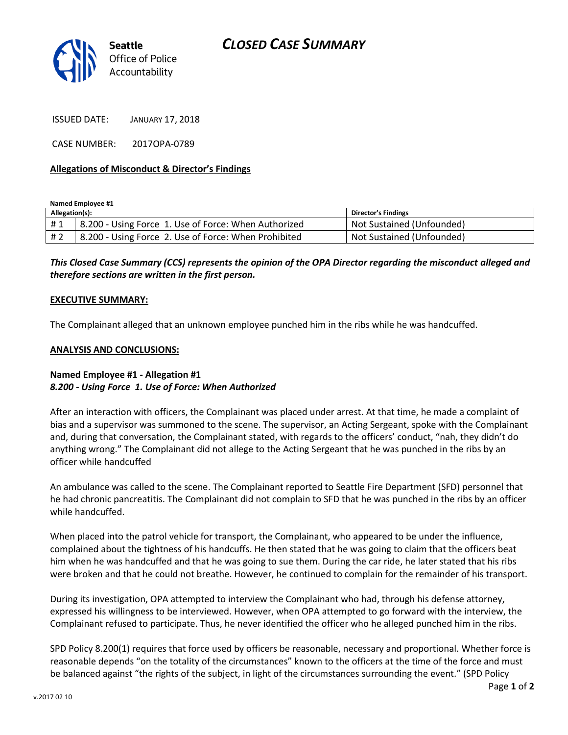

ISSUED DATE: JANUARY 17, 2018

CASE NUMBER: 2017OPA-0789

## **Allegations of Misconduct & Director's Findings**

**Named Employee #1**

| Allegation(s): |                                                      | <b>Director's Findings</b> |
|----------------|------------------------------------------------------|----------------------------|
| #1             | 8.200 - Using Force 1. Use of Force: When Authorized | Not Sustained (Unfounded)  |
| # 2            | 8.200 - Using Force 2. Use of Force: When Prohibited | Not Sustained (Unfounded)  |

*This Closed Case Summary (CCS) represents the opinion of the OPA Director regarding the misconduct alleged and therefore sections are written in the first person.* 

## **EXECUTIVE SUMMARY:**

The Complainant alleged that an unknown employee punched him in the ribs while he was handcuffed.

## **ANALYSIS AND CONCLUSIONS:**

# **Named Employee #1 - Allegation #1** *8.200 - Using Force 1. Use of Force: When Authorized*

After an interaction with officers, the Complainant was placed under arrest. At that time, he made a complaint of bias and a supervisor was summoned to the scene. The supervisor, an Acting Sergeant, spoke with the Complainant and, during that conversation, the Complainant stated, with regards to the officers' conduct, "nah, they didn't do anything wrong." The Complainant did not allege to the Acting Sergeant that he was punched in the ribs by an officer while handcuffed

An ambulance was called to the scene. The Complainant reported to Seattle Fire Department (SFD) personnel that he had chronic pancreatitis. The Complainant did not complain to SFD that he was punched in the ribs by an officer while handcuffed.

When placed into the patrol vehicle for transport, the Complainant, who appeared to be under the influence, complained about the tightness of his handcuffs. He then stated that he was going to claim that the officers beat him when he was handcuffed and that he was going to sue them. During the car ride, he later stated that his ribs were broken and that he could not breathe. However, he continued to complain for the remainder of his transport.

During its investigation, OPA attempted to interview the Complainant who had, through his defense attorney, expressed his willingness to be interviewed. However, when OPA attempted to go forward with the interview, the Complainant refused to participate. Thus, he never identified the officer who he alleged punched him in the ribs.

SPD Policy 8.200(1) requires that force used by officers be reasonable, necessary and proportional. Whether force is reasonable depends "on the totality of the circumstances" known to the officers at the time of the force and must be balanced against "the rights of the subject, in light of the circumstances surrounding the event." (SPD Policy